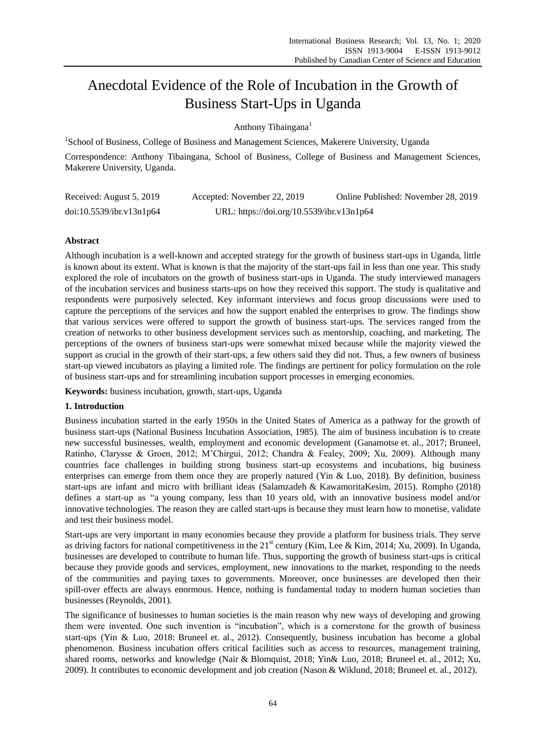# Anecdotal Evidence of the Role of Incubation in the Growth of Business Start-Ups in Uganda

Anthony Tibaingana<sup>1</sup>

<sup>1</sup>School of Business, College of Business and Management Sciences, Makerere University, Uganda

Correspondence: Anthony Tibaingana, School of Business, College of Business and Management Sciences, Makerere University, Uganda.

| Received: August 5, 2019 | Accepted: November 22, 2019               | Online Published: November 28, 2019 |
|--------------------------|-------------------------------------------|-------------------------------------|
| doi:10.5539/ibr.v13n1p64 | URL: https://doi.org/10.5539/ibr.v13n1p64 |                                     |

# **Abstract**

Although incubation is a well-known and accepted strategy for the growth of business start-ups in Uganda, little is known about its extent. What is known is that the majority of the start-ups fail in less than one year. This study explored the role of incubators on the growth of business start-ups in Uganda. The study interviewed managers of the incubation services and business starts-ups on how they received this support. The study is qualitative and respondents were purposively selected. Key informant interviews and focus group discussions were used to capture the perceptions of the services and how the support enabled the enterprises to grow. The findings show that various services were offered to support the growth of business start-ups. The services ranged from the creation of networks to other business development services such as mentorship, coaching, and marketing. The perceptions of the owners of business start-ups were somewhat mixed because while the majority viewed the support as crucial in the growth of their start-ups, a few others said they did not. Thus, a few owners of business start-up viewed incubators as playing a limited role. The findings are pertinent for policy formulation on the role of business start-ups and for streamlining incubation support processes in emerging economies.

**Keywords:** business incubation, growth, start-ups, Uganda

## **1. Introduction**

Business incubation started in the early 1950s in the United States of America as a pathway for the growth of business start-ups (National Business Incubation Association, 1985). The aim of business incubation is to create new successful businesses, wealth, employment and economic development (Ganamotse et. al., 2017; Bruneel, Ratinho, Clarysse & Groen, 2012; M'Chirgui, 2012; Chandra & Fealey, 2009; Xu, 2009). Although many countries face challenges in building strong business start-up ecosystems and incubations, big business enterprises can emerge from them once they are properly natured (Yin & Luo, 2018). By definition, business start-ups are infant and micro with brilliant ideas (Salamzadeh & KawamoritaKesim, 2015). Rompho (2018) defines a start-up as "a young company, less than 10 years old, with an innovative business model and/or innovative technologies. The reason they are called start-ups is because they must learn how to monetise, validate and test their business model.

Start-ups are very important in many economies because they provide a platform for business trials. They serve as driving factors for national competitiveness in the  $21<sup>st</sup>$  century (Kim, Lee & Kim, 2014; Xu, 2009). In Uganda, businesses are developed to contribute to human life. Thus, supporting the growth of business start-ups is critical because they provide goods and services, employment, new innovations to the market, responding to the needs of the communities and paying taxes to governments. Moreover, once businesses are developed then their spill-over effects are always enormous. Hence, nothing is fundamental today to modern human societies than businesses (Reynolds, 2001).

The significance of businesses to human societies is the main reason why new ways of developing and growing them were invented. One such invention is "incubation", which is a cornerstone for the growth of business start-ups (Yin & Luo, 2018: Bruneel et. al., 2012). Consequently, business incubation has become a global phenomenon. Business incubation offers critical facilities such as access to resources, management training, shared rooms, networks and knowledge (Nair & Blomquist, 2018; Yin& Luo, 2018; Bruneel et. al., 2012; Xu, 2009). It contributes to economic development and job creation (Nason & Wiklund, 2018; Bruneel et. al., 2012).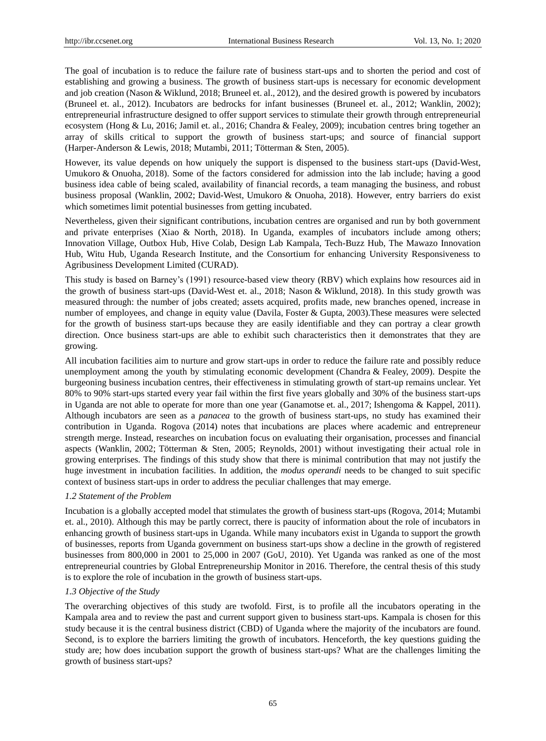The goal of incubation is to reduce the failure rate of business start-ups and to shorten the period and cost of establishing and growing a business. The growth of business start-ups is necessary for economic development and job creation (Nason & Wiklund, 2018; Bruneel et. al., 2012), and the desired growth is powered by incubators (Bruneel et. al., 2012). Incubators are bedrocks for infant businesses (Bruneel et. al., 2012; Wanklin, 2002); entrepreneurial infrastructure designed to offer support services to stimulate their growth through entrepreneurial ecosystem (Hong & Lu, 2016; Jamil et. al., 2016; Chandra & Fealey, 2009); incubation centres bring together an array of skills critical to support the growth of business start-ups; and source of financial support (Harper-Anderson & Lewis, 2018; Mutambi, 2011; Tötterman & Sten, 2005).

However, its value depends on how uniquely the support is dispensed to the business start-ups (David-West, Umukoro & Onuoha, 2018). Some of the factors considered for admission into the lab include; having a good business idea cable of being scaled, availability of financial records, a team managing the business, and robust business proposal (Wanklin, 2002; David-West, Umukoro & Onuoha, 2018). However, entry barriers do exist which sometimes limit potential businesses from getting incubated.

Nevertheless, given their significant contributions, incubation centres are organised and run by both government and private enterprises (Xiao & North, 2018). In Uganda, examples of incubators include among others; Innovation Village, Outbox Hub, Hive Colab, Design Lab Kampala, Tech-Buzz Hub, The Mawazo Innovation Hub, Witu Hub, Uganda Research Institute, and the Consortium for enhancing University Responsiveness to Agribusiness Development Limited (CURAD).

This study is based on Barney's (1991) resource-based view theory (RBV) which explains how resources aid in the growth of business start-ups (David-West et. al., 2018; Nason & Wiklund, 2018). In this study growth was measured through: the number of jobs created; assets acquired, profits made, new branches opened, increase in number of employees, and change in equity value (Davila, Foster & Gupta, 2003).These measures were selected for the growth of business start-ups because they are easily identifiable and they can portray a clear growth direction. Once business start-ups are able to exhibit such characteristics then it demonstrates that they are growing.

All incubation facilities aim to nurture and grow start-ups in order to reduce the failure rate and possibly reduce unemployment among the youth by stimulating economic development (Chandra & Fealey, 2009). Despite the burgeoning business incubation centres, their effectiveness in stimulating growth of start-up remains unclear. Yet 80% to 90% start-ups started every year fail within the first five years globally and 30% of the business start-ups in Uganda are not able to operate for more than one year (Ganamotse et. al., 2017; Ishengoma & Kappel, 2011). Although incubators are seen as a *panacea* to the growth of business start-ups, no study has examined their contribution in Uganda. Rogova (2014) notes that incubations are places where academic and entrepreneur strength merge. Instead, researches on incubation focus on evaluating their organisation, processes and financial aspects (Wanklin, 2002; Tötterman & Sten, 2005; Reynolds, 2001) without investigating their actual role in growing enterprises. The findings of this study show that there is minimal contribution that may not justify the huge investment in incubation facilities. In addition, the *modus operandi* needs to be changed to suit specific context of business start-ups in order to address the peculiar challenges that may emerge.

## *1.2 Statement of the Problem*

Incubation is a globally accepted model that stimulates the growth of business start-ups (Rogova, 2014; Mutambi et. al., 2010). Although this may be partly correct, there is paucity of information about the role of incubators in enhancing growth of business start-ups in Uganda. While many incubators exist in Uganda to support the growth of businesses, reports from Uganda government on business start-ups show a decline in the growth of registered businesses from 800,000 in 2001 to 25,000 in 2007 (GoU, 2010). Yet Uganda was ranked as one of the most entrepreneurial countries by Global Entrepreneurship Monitor in 2016. Therefore, the central thesis of this study is to explore the role of incubation in the growth of business start-ups.

## *1.3 Objective of the Study*

The overarching objectives of this study are twofold. First, is to profile all the incubators operating in the Kampala area and to review the past and current support given to business start-ups. Kampala is chosen for this study because it is the central business district (CBD) of Uganda where the majority of the incubators are found. Second, is to explore the barriers limiting the growth of incubators. Henceforth, the key questions guiding the study are; how does incubation support the growth of business start-ups? What are the challenges limiting the growth of business start-ups?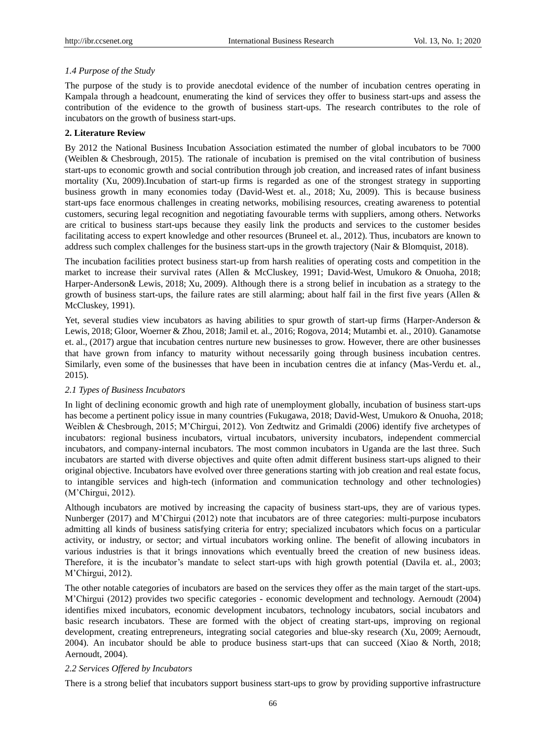## *1.4 Purpose of the Study*

The purpose of the study is to provide anecdotal evidence of the number of incubation centres operating in Kampala through a headcount, enumerating the kind of services they offer to business start-ups and assess the contribution of the evidence to the growth of business start-ups. The research contributes to the role of incubators on the growth of business start-ups.

## **2. Literature Review**

By 2012 the National Business Incubation Association estimated the number of global incubators to be 7000 (Weiblen & Chesbrough, 2015). The rationale of incubation is premised on the vital contribution of business start-ups to economic growth and social contribution through job creation, and increased rates of infant business mortality (Xu, 2009).Incubation of start-up firms is regarded as one of the strongest strategy in supporting business growth in many economies today (David-West et. al., 2018; Xu, 2009). This is because business start-ups face enormous challenges in creating networks, mobilising resources, creating awareness to potential customers, securing legal recognition and negotiating favourable terms with suppliers, among others. Networks are critical to business start-ups because they easily link the products and services to the customer besides facilitating access to expert knowledge and other resources (Bruneel et. al., 2012). Thus, incubators are known to address such complex challenges for the business start-ups in the growth trajectory (Nair & Blomquist, 2018).

The incubation facilities protect business start-up from harsh realities of operating costs and competition in the market to increase their survival rates (Allen & McCluskey, 1991; David-West, Umukoro & Onuoha, 2018; Harper-Anderson& Lewis, 2018; Xu, 2009). Although there is a strong belief in incubation as a strategy to the growth of business start-ups, the failure rates are still alarming; about half fail in the first five years (Allen  $\&$ McCluskey, 1991).

Yet, several studies view incubators as having abilities to spur growth of start-up firms (Harper-Anderson & Lewis, 2018; Gloor, Woerner & Zhou, 2018; Jamil et. al., 2016; Rogova, 2014; Mutambi et. al., 2010). Ganamotse et. al., (2017) argue that incubation centres nurture new businesses to grow. However, there are other businesses that have grown from infancy to maturity without necessarily going through business incubation centres. Similarly, even some of the businesses that have been in incubation centres die at infancy (Mas-Verdu et. al., 2015).

## *2.1 Types of Business Incubators*

In light of declining economic growth and high rate of unemployment globally, incubation of business start-ups has become a pertinent policy issue in many countries (Fukugawa, 2018; David-West, Umukoro & Onuoha, 2018; Weiblen & Chesbrough, 2015; M'Chirgui, 2012). Von Zedtwitz and Grimaldi (2006) identify five archetypes of incubators: regional business incubators, virtual incubators, university incubators, independent commercial incubators, and company-internal incubators. The most common incubators in Uganda are the last three. Such incubators are started with diverse objectives and quite often admit different business start-ups aligned to their original objective. Incubators have evolved over three generations starting with job creation and real estate focus, to intangible services and high-tech (information and communication technology and other technologies) (M'Chirgui, 2012).

Although incubators are motived by increasing the capacity of business start-ups, they are of various types. Nunberger (2017) and M'Chirgui (2012) note that incubators are of three categories: multi-purpose incubators admitting all kinds of business satisfying criteria for entry; specialized incubators which focus on a particular activity, or industry, or sector; and virtual incubators working online. The benefit of allowing incubators in various industries is that it brings innovations which eventually breed the creation of new business ideas. Therefore, it is the incubator's mandate to select start-ups with high growth potential (Davila et. al., 2003; M'Chirgui, 2012).

The other notable categories of incubators are based on the services they offer as the main target of the start-ups. M'Chirgui (2012) provides two specific categories - economic development and technology. Aernoudt (2004) identifies mixed incubators, economic development incubators, technology incubators, social incubators and basic research incubators. These are formed with the object of creating start-ups, improving on regional development, creating entrepreneurs, integrating social categories and blue-sky research (Xu, 2009; Aernoudt, 2004). An incubator should be able to produce business start-ups that can succeed (Xiao & North, 2018; Aernoudt, 2004).

## *2.2 Services Offered by Incubators*

There is a strong belief that incubators support business start-ups to grow by providing supportive infrastructure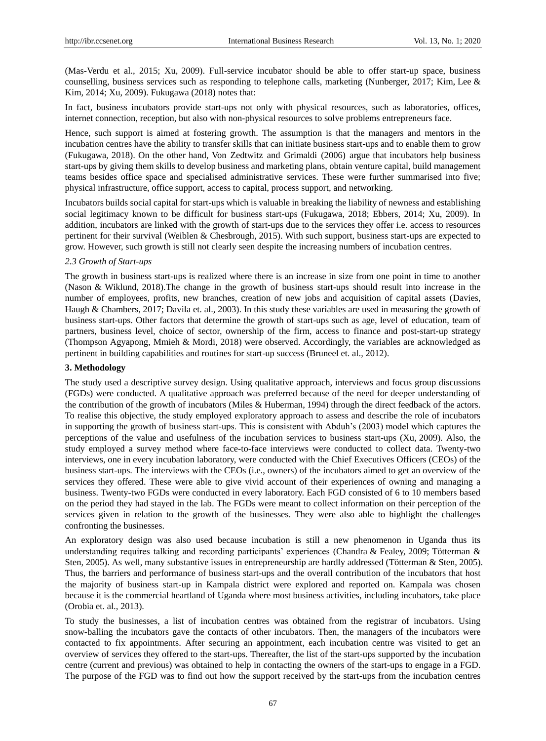(Mas-Verdu et al., 2015; Xu, 2009). Full-service incubator should be able to offer start-up space, business counselling, business services such as responding to telephone calls, marketing (Nunberger, 2017; Kim, Lee & Kim, 2014; Xu, 2009). Fukugawa (2018) notes that:

In fact, business incubators provide start-ups not only with physical resources, such as laboratories, offices, internet connection, reception, but also with non-physical resources to solve problems entrepreneurs face.

Hence, such support is aimed at fostering growth. The assumption is that the managers and mentors in the incubation centres have the ability to transfer skills that can initiate business start-ups and to enable them to grow (Fukugawa, 2018). On the other hand, Von Zedtwitz and Grimaldi (2006) argue that incubators help business start-ups by giving them skills to develop business and marketing plans, obtain venture capital, build management teams besides office space and specialised administrative services. These were further summarised into five; physical infrastructure, office support, access to capital, process support, and networking.

Incubators builds social capital for start-ups which is valuable in breaking the liability of newness and establishing social legitimacy known to be difficult for business start-ups (Fukugawa, 2018; Ebbers, 2014; Xu, 2009). In addition, incubators are linked with the growth of start-ups due to the services they offer i.e. access to resources pertinent for their survival (Weiblen & Chesbrough, 2015). With such support, business start-ups are expected to grow. However, such growth is still not clearly seen despite the increasing numbers of incubation centres.

### *2.3 Growth of Start-ups*

The growth in business start-ups is realized where there is an increase in size from one point in time to another (Nason & Wiklund, 2018).The change in the growth of business start-ups should result into increase in the number of employees, profits, new branches, creation of new jobs and acquisition of capital assets (Davies, Haugh & Chambers, 2017; Davila et. al., 2003). In this study these variables are used in measuring the growth of business start-ups. Other factors that determine the growth of start-ups such as age, level of education, team of partners, business level, choice of sector, ownership of the firm, access to finance and post-start-up strategy (Thompson Agyapong, Mmieh & Mordi, 2018) were observed. Accordingly, the variables are acknowledged as pertinent in building capabilities and routines for start-up success (Bruneel et. al., 2012).

#### **3. Methodology**

The study used a descriptive survey design. Using qualitative approach, interviews and focus group discussions (FGDs) were conducted. A qualitative approach was preferred because of the need for deeper understanding of the contribution of the growth of incubators (Miles & Huberman, 1994) through the direct feedback of the actors. To realise this objective, the study employed exploratory approach to assess and describe the role of incubators in supporting the growth of business start-ups. This is consistent with Abduh's (2003) model which captures the perceptions of the value and usefulness of the incubation services to business start-ups (Xu, 2009). Also, the study employed a survey method where face-to-face interviews were conducted to collect data. Twenty-two interviews, one in every incubation laboratory, were conducted with the Chief Executives Officers (CEOs) of the business start-ups. The interviews with the CEOs (i.e., owners) of the incubators aimed to get an overview of the services they offered. These were able to give vivid account of their experiences of owning and managing a business. Twenty-two FGDs were conducted in every laboratory. Each FGD consisted of 6 to 10 members based on the period they had stayed in the lab. The FGDs were meant to collect information on their perception of the services given in relation to the growth of the businesses. They were also able to highlight the challenges confronting the businesses.

An exploratory design was also used because incubation is still a new phenomenon in Uganda thus its understanding requires talking and recording participants' experiences (Chandra & Fealey, 2009; Tötterman & Sten, 2005). As well, many substantive issues in entrepreneurship are hardly addressed (Tötterman & Sten, 2005). Thus, the barriers and performance of business start-ups and the overall contribution of the incubators that host the majority of business start-up in Kampala district were explored and reported on. Kampala was chosen because it is the commercial heartland of Uganda where most business activities, including incubators, take place (Orobia et. al., 2013).

To study the businesses, a list of incubation centres was obtained from the registrar of incubators. Using snow-balling the incubators gave the contacts of other incubators. Then, the managers of the incubators were contacted to fix appointments. After securing an appointment, each incubation centre was visited to get an overview of services they offered to the start-ups. Thereafter, the list of the start-ups supported by the incubation centre (current and previous) was obtained to help in contacting the owners of the start-ups to engage in a FGD. The purpose of the FGD was to find out how the support received by the start-ups from the incubation centres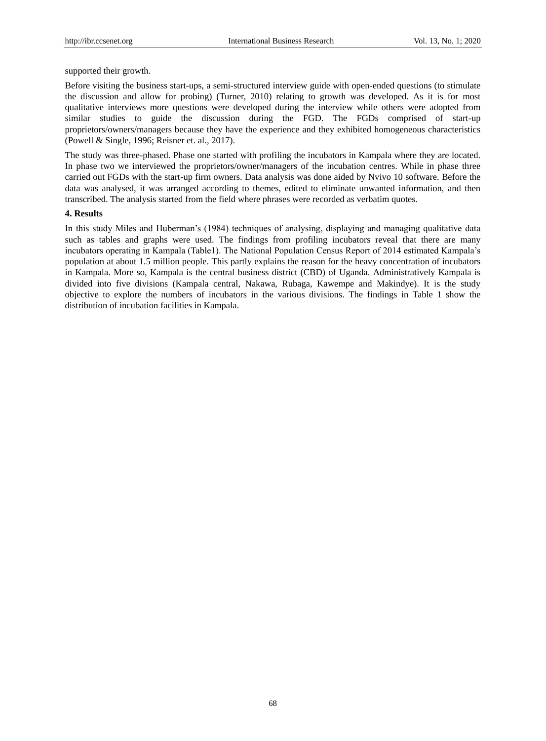supported their growth.

Before visiting the business start-ups, a semi-structured interview guide with open-ended questions (to stimulate the discussion and allow for probing) (Turner, 2010) relating to growth was developed. As it is for most qualitative interviews more questions were developed during the interview while others were adopted from similar studies to guide the discussion during the FGD. The FGDs comprised of start-up proprietors/owners/managers because they have the experience and they exhibited homogeneous characteristics (Powell & Single, 1996; Reisner et. al., 2017).

The study was three-phased. Phase one started with profiling the incubators in Kampala where they are located. In phase two we interviewed the proprietors/owner/managers of the incubation centres. While in phase three carried out FGDs with the start-up firm owners. Data analysis was done aided by Nvivo 10 software. Before the data was analysed, it was arranged according to themes, edited to eliminate unwanted information, and then transcribed. The analysis started from the field where phrases were recorded as verbatim quotes.

#### **4. Results**

In this study Miles and Huberman's (1984) techniques of analysing, displaying and managing qualitative data such as tables and graphs were used. The findings from profiling incubators reveal that there are many incubators operating in Kampala (Table1). The National Population Census Report of 2014 estimated Kampala's population at about 1.5 million people. This partly explains the reason for the heavy concentration of incubators in Kampala. More so, Kampala is the central business district (CBD) of Uganda. Administratively Kampala is divided into five divisions (Kampala central, Nakawa, Rubaga, Kawempe and Makindye). It is the study objective to explore the numbers of incubators in the various divisions. The findings in Table 1 show the distribution of incubation facilities in Kampala.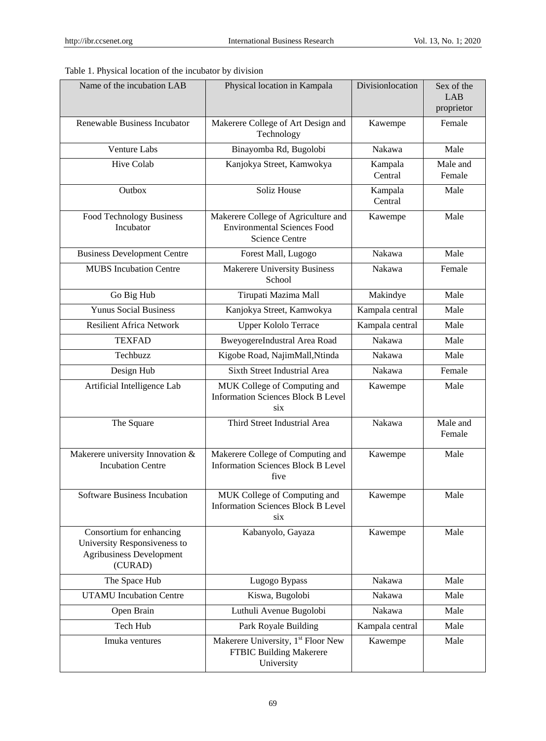|  |  | Table 1. Physical location of the incubator by division |
|--|--|---------------------------------------------------------|
|  |  |                                                         |

| Name of the incubation LAB                                                                      | Physical location in Kampala                                                                       | Divisionlocation   | Sex of the<br>LAB<br>proprietor |
|-------------------------------------------------------------------------------------------------|----------------------------------------------------------------------------------------------------|--------------------|---------------------------------|
| Renewable Business Incubator                                                                    | Makerere College of Art Design and<br>Technology                                                   | Kawempe            | Female                          |
| <b>Venture Labs</b>                                                                             | Binayomba Rd, Bugolobi                                                                             | Nakawa             | Male                            |
| Hive Colab                                                                                      | Kanjokya Street, Kamwokya                                                                          | Kampala<br>Central | Male and<br>Female              |
| Outbox                                                                                          | Soliz House                                                                                        | Kampala<br>Central | Male                            |
| Food Technology Business<br>Incubator                                                           | Makerere College of Agriculture and<br><b>Environmental Sciences Food</b><br><b>Science Centre</b> | Kawempe            | Male                            |
| <b>Business Development Centre</b>                                                              | Forest Mall, Lugogo                                                                                | Nakawa             | Male                            |
| <b>MUBS</b> Incubation Centre                                                                   | <b>Makerere University Business</b><br>School                                                      | Nakawa             | Female                          |
| Go Big Hub                                                                                      | Tirupati Mazima Mall                                                                               | Makindye           | Male                            |
| <b>Yunus Social Business</b>                                                                    | Kanjokya Street, Kamwokya                                                                          | Kampala central    | Male                            |
| <b>Resilient Africa Network</b>                                                                 | <b>Upper Kololo Terrace</b>                                                                        | Kampala central    | Male                            |
| <b>TEXFAD</b>                                                                                   | BweyogereIndustral Area Road                                                                       | Nakawa             | Male                            |
| Techbuzz                                                                                        | Kigobe Road, NajimMall, Ntinda                                                                     | Nakawa             | Male                            |
| Design Hub                                                                                      | <b>Sixth Street Industrial Area</b>                                                                | Nakawa             | Female                          |
| Artificial Intelligence Lab                                                                     | MUK College of Computing and<br><b>Information Sciences Block B Level</b><br>six                   | Kawempe            | Male                            |
| The Square                                                                                      | Third Street Industrial Area                                                                       | Nakawa             | Male and<br>Female              |
| Makerere university Innovation &<br><b>Incubation Centre</b>                                    | Makerere College of Computing and<br><b>Information Sciences Block B Level</b><br>five             | Kawempe            | Male                            |
| Software Business Incubation                                                                    | <b>MUK</b> College of Computing and<br><b>Information Sciences Block B Level</b><br>six            | Kawempe            | Male                            |
| Consortium for enhancing<br>University Responsiveness to<br>Agribusiness Development<br>(CURAD) | Kabanyolo, Gayaza                                                                                  | Kawempe            | Male                            |
| The Space Hub                                                                                   | Lugogo Bypass                                                                                      | Nakawa             | Male                            |
| <b>UTAMU</b> Incubation Centre                                                                  | Kiswa, Bugolobi                                                                                    | Nakawa             | Male                            |
| Open Brain                                                                                      | Luthuli Avenue Bugolobi                                                                            | Nakawa             | Male                            |
| Tech Hub                                                                                        | Park Royale Building                                                                               | Kampala central    | Male                            |
| Imuka ventures                                                                                  | Makerere University, 1 <sup>st</sup> Floor New<br>FTBIC Building Makerere<br>University            | Kawempe            | Male                            |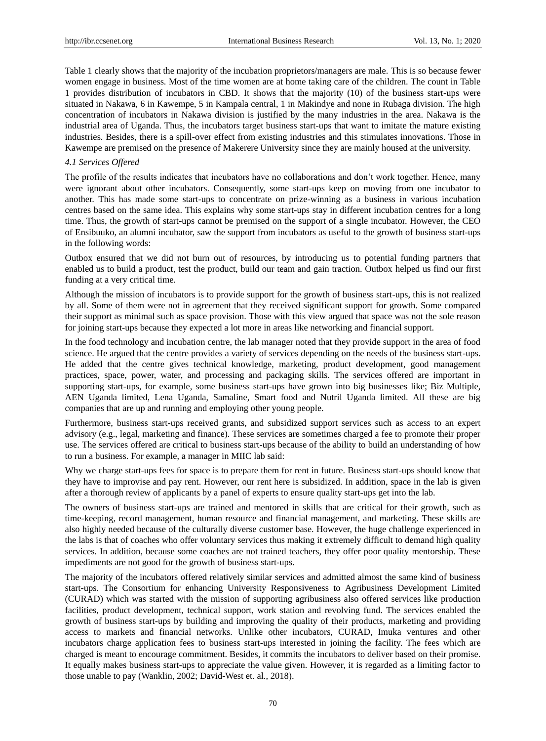Table 1 clearly shows that the majority of the incubation proprietors/managers are male. This is so because fewer women engage in business. Most of the time women are at home taking care of the children. The count in Table 1 provides distribution of incubators in CBD. It shows that the majority (10) of the business start-ups were situated in Nakawa, 6 in Kawempe, 5 in Kampala central, 1 in Makindye and none in Rubaga division. The high concentration of incubators in Nakawa division is justified by the many industries in the area. Nakawa is the industrial area of Uganda. Thus, the incubators target business start-ups that want to imitate the mature existing industries. Besides, there is a spill-over effect from existing industries and this stimulates innovations. Those in Kawempe are premised on the presence of Makerere University since they are mainly housed at the university.

## *4.1 Services Offered*

The profile of the results indicates that incubators have no collaborations and don't work together. Hence, many were ignorant about other incubators. Consequently, some start-ups keep on moving from one incubator to another. This has made some start-ups to concentrate on prize-winning as a business in various incubation centres based on the same idea. This explains why some start-ups stay in different incubation centres for a long time. Thus, the growth of start-ups cannot be premised on the support of a single incubator. However, the CEO of Ensibuuko, an alumni incubator, saw the support from incubators as useful to the growth of business start-ups in the following words:

Outbox ensured that we did not burn out of resources, by introducing us to potential funding partners that enabled us to build a product, test the product, build our team and gain traction. Outbox helped us find our first funding at a very critical time*.*

Although the mission of incubators is to provide support for the growth of business start-ups, this is not realized by all. Some of them were not in agreement that they received significant support for growth. Some compared their support as minimal such as space provision. Those with this view argued that space was not the sole reason for joining start-ups because they expected a lot more in areas like networking and financial support.

In the food technology and incubation centre, the lab manager noted that they provide support in the area of food science. He argued that the centre provides a variety of services depending on the needs of the business start-ups. He added that the centre gives technical knowledge, marketing, product development, good management practices, space, power, water, and processing and packaging skills. The services offered are important in supporting start-ups, for example, some business start-ups have grown into big businesses like; Biz Multiple, AEN Uganda limited, Lena Uganda, Samaline, Smart food and Nutril Uganda limited. All these are big companies that are up and running and employing other young people.

Furthermore, business start-ups received grants, and subsidized support services such as access to an expert advisory (e.g., legal, marketing and finance). These services are sometimes charged a fee to promote their proper use. The services offered are critical to business start-ups because of the ability to build an understanding of how to run a business. For example, a manager in MIIC lab said:

Why we charge start-ups fees for space is to prepare them for rent in future. Business start-ups should know that they have to improvise and pay rent. However, our rent here is subsidized. In addition, space in the lab is given after a thorough review of applicants by a panel of experts to ensure quality start-ups get into the lab.

The owners of business start-ups are trained and mentored in skills that are critical for their growth, such as time-keeping, record management, human resource and financial management, and marketing. These skills are also highly needed because of the culturally diverse customer base. However, the huge challenge experienced in the labs is that of coaches who offer voluntary services thus making it extremely difficult to demand high quality services. In addition, because some coaches are not trained teachers, they offer poor quality mentorship. These impediments are not good for the growth of business start-ups.

The majority of the incubators offered relatively similar services and admitted almost the same kind of business start-ups. The Consortium for enhancing University Responsiveness to Agribusiness Development Limited (CURAD) which was started with the mission of supporting agribusiness also offered services like production facilities, product development, technical support, work station and revolving fund. The services enabled the growth of business start-ups by building and improving the quality of their products, marketing and providing access to markets and financial networks. Unlike other incubators, CURAD, Imuka ventures and other incubators charge application fees to business start-ups interested in joining the facility. The fees which are charged is meant to encourage commitment. Besides, it commits the incubators to deliver based on their promise. It equally makes business start-ups to appreciate the value given. However, it is regarded as a limiting factor to those unable to pay (Wanklin, 2002; David-West et. al., 2018).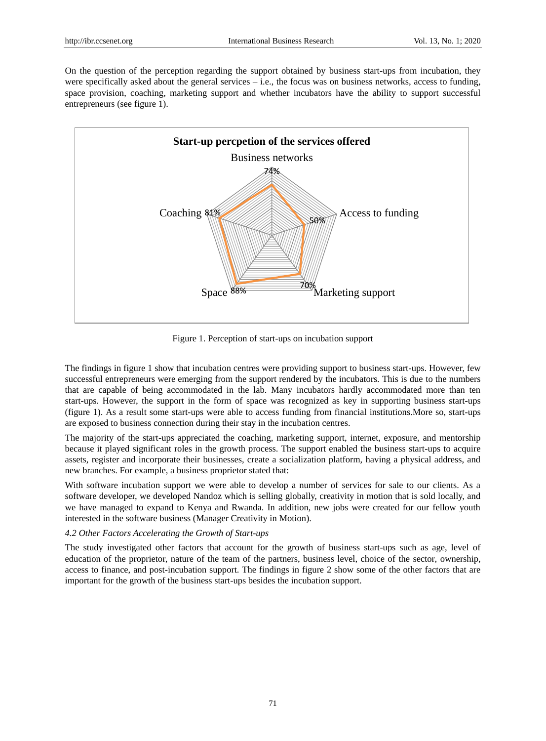On the question of the perception regarding the support obtained by business start-ups from incubation, they were specifically asked about the general services  $-$  i.e., the focus was on business networks, access to funding, space provision, coaching, marketing support and whether incubators have the ability to support successful entrepreneurs (see figure 1).



Figure 1. Perception of start-ups on incubation support

The findings in figure 1 show that incubation centres were providing support to business start-ups. However, few successful entrepreneurs were emerging from the support rendered by the incubators. This is due to the numbers that are capable of being accommodated in the lab. Many incubators hardly accommodated more than ten start-ups. However, the support in the form of space was recognized as key in supporting business start-ups (figure 1). As a result some start-ups were able to access funding from financial institutions.More so, start-ups are exposed to business connection during their stay in the incubation centres.

The majority of the start-ups appreciated the coaching, marketing support, internet, exposure, and mentorship because it played significant roles in the growth process. The support enabled the business start-ups to acquire assets, register and incorporate their businesses, create a socialization platform, having a physical address, and new branches. For example, a business proprietor stated that:

With software incubation support we were able to develop a number of services for sale to our clients. As a software developer, we developed Nandoz which is selling globally, creativity in motion that is sold locally, and we have managed to expand to Kenya and Rwanda. In addition, new jobs were created for our fellow youth interested in the software business (Manager Creativity in Motion).

## *4.2 Other Factors Accelerating the Growth of Start-ups*

The study investigated other factors that account for the growth of business start-ups such as age, level of education of the proprietor, nature of the team of the partners, business level, choice of the sector, ownership, access to finance, and post-incubation support. The findings in figure 2 show some of the other factors that are important for the growth of the business start-ups besides the incubation support.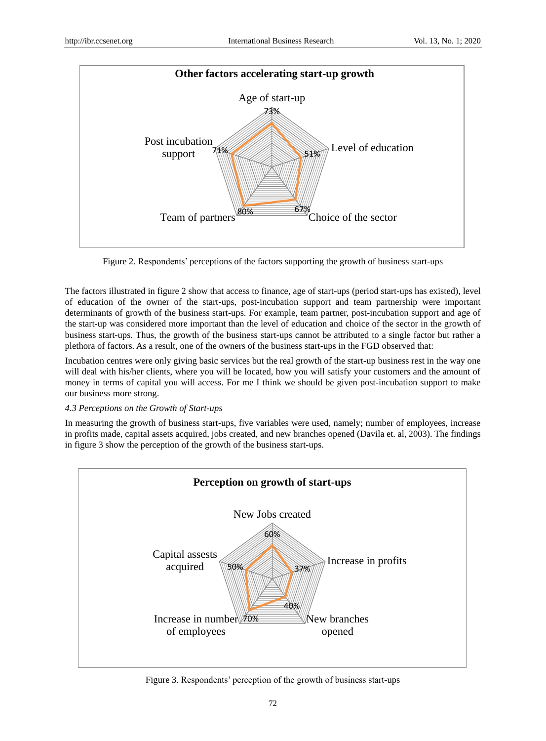

Figure 2. Respondents' perceptions of the factors supporting the growth of business start-ups

The factors illustrated in figure 2 show that access to finance, age of start-ups (period start-ups has existed), level of education of the owner of the start-ups, post-incubation support and team partnership were important determinants of growth of the business start-ups. For example, team partner, post-incubation support and age of the start-up was considered more important than the level of education and choice of the sector in the growth of business start-ups. Thus, the growth of the business start-ups cannot be attributed to a single factor but rather a plethora of factors. As a result, one of the owners of the business start-ups in the FGD observed that:

Incubation centres were only giving basic services but the real growth of the start-up business rest in the way one will deal with his/her clients, where you will be located, how you will satisfy your customers and the amount of money in terms of capital you will access. For me I think we should be given post-incubation support to make our business more strong.

# *4.3 Perceptions on the Growth of Start-ups*

In measuring the growth of business start-ups, five variables were used, namely; number of employees, increase in profits made, capital assets acquired, jobs created, and new branches opened (Davila et. al, 2003). The findings in figure 3 show the perception of the growth of the business start-ups.



Figure 3. Respondents' perception of the growth of business start-ups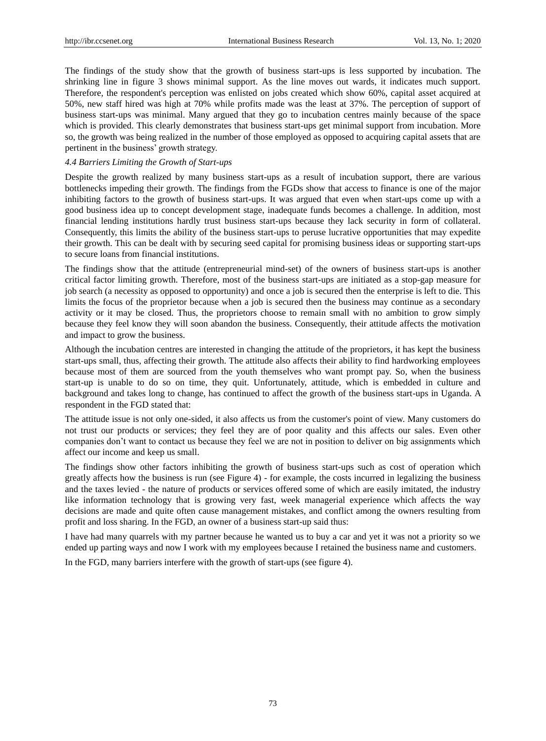The findings of the study show that the growth of business start-ups is less supported by incubation. The shrinking line in figure 3 shows minimal support. As the line moves out wards, it indicates much support. Therefore, the respondent's perception was enlisted on jobs created which show 60%, capital asset acquired at 50%, new staff hired was high at 70% while profits made was the least at 37%. The perception of support of business start-ups was minimal. Many argued that they go to incubation centres mainly because of the space which is provided. This clearly demonstrates that business start-ups get minimal support from incubation. More so, the growth was being realized in the number of those employed as opposed to acquiring capital assets that are pertinent in the business' growth strategy.

## *4.4 Barriers Limiting the Growth of Start-ups*

Despite the growth realized by many business start-ups as a result of incubation support, there are various bottlenecks impeding their growth. The findings from the FGDs show that access to finance is one of the major inhibiting factors to the growth of business start-ups. It was argued that even when start-ups come up with a good business idea up to concept development stage, inadequate funds becomes a challenge. In addition, most financial lending institutions hardly trust business start-ups because they lack security in form of collateral. Consequently, this limits the ability of the business start-ups to peruse lucrative opportunities that may expedite their growth. This can be dealt with by securing seed capital for promising business ideas or supporting start-ups to secure loans from financial institutions.

The findings show that the attitude (entrepreneurial mind-set) of the owners of business start-ups is another critical factor limiting growth. Therefore, most of the business start-ups are initiated as a stop-gap measure for job search (a necessity as opposed to opportunity) and once a job is secured then the enterprise is left to die. This limits the focus of the proprietor because when a job is secured then the business may continue as a secondary activity or it may be closed. Thus, the proprietors choose to remain small with no ambition to grow simply because they feel know they will soon abandon the business. Consequently, their attitude affects the motivation and impact to grow the business.

Although the incubation centres are interested in changing the attitude of the proprietors, it has kept the business start-ups small, thus, affecting their growth. The attitude also affects their ability to find hardworking employees because most of them are sourced from the youth themselves who want prompt pay. So, when the business start-up is unable to do so on time, they quit. Unfortunately, attitude, which is embedded in culture and background and takes long to change, has continued to affect the growth of the business start-ups in Uganda. A respondent in the FGD stated that:

The attitude issue is not only one-sided, it also affects us from the customer's point of view. Many customers do not trust our products or services; they feel they are of poor quality and this affects our sales. Even other companies don't want to contact us because they feel we are not in position to deliver on big assignments which affect our income and keep us small.

The findings show other factors inhibiting the growth of business start-ups such as cost of operation which greatly affects how the business is run (see Figure 4) - for example, the costs incurred in legalizing the business and the taxes levied - the nature of products or services offered some of which are easily imitated, the industry like information technology that is growing very fast, week managerial experience which affects the way decisions are made and quite often cause management mistakes, and conflict among the owners resulting from profit and loss sharing. In the FGD, an owner of a business start-up said thus:

I have had many quarrels with my partner because he wanted us to buy a car and yet it was not a priority so we ended up parting ways and now I work with my employees because I retained the business name and customers.

In the FGD, many barriers interfere with the growth of start-ups (see figure 4).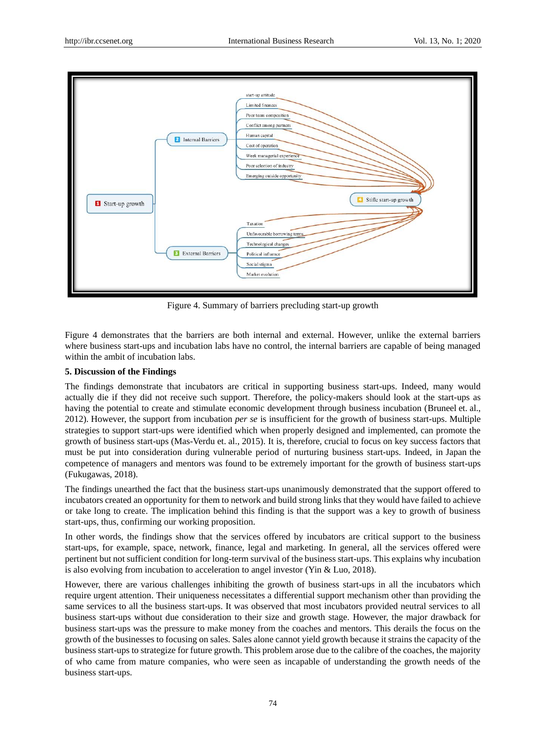

Figure 4. Summary of barriers precluding start-up growth

Figure 4 demonstrates that the barriers are both internal and external. However, unlike the external barriers where business start-ups and incubation labs have no control, the internal barriers are capable of being managed within the ambit of incubation labs.

## **5. Discussion of the Findings**

The findings demonstrate that incubators are critical in supporting business start-ups. Indeed, many would actually die if they did not receive such support. Therefore, the policy-makers should look at the start-ups as having the potential to create and stimulate economic development through business incubation (Bruneel et. al., 2012). However, the support from incubation *per se* is insufficient for the growth of business start-ups. Multiple strategies to support start-ups were identified which when properly designed and implemented, can promote the growth of business start-ups (Mas-Verdu et. al., 2015). It is, therefore, crucial to focus on key success factors that must be put into consideration during vulnerable period of nurturing business start-ups. Indeed, in Japan the competence of managers and mentors was found to be extremely important for the growth of business start-ups (Fukugawas, 2018).

The findings unearthed the fact that the business start-ups unanimously demonstrated that the support offered to incubators created an opportunity for them to network and build strong links that they would have failed to achieve or take long to create. The implication behind this finding is that the support was a key to growth of business start-ups, thus, confirming our working proposition.

In other words, the findings show that the services offered by incubators are critical support to the business start-ups, for example, space, network, finance, legal and marketing. In general, all the services offered were pertinent but not sufficient condition for long-term survival of the business start-ups. This explains why incubation is also evolving from incubation to acceleration to angel investor (Yin & Luo, 2018).

However, there are various challenges inhibiting the growth of business start-ups in all the incubators which require urgent attention. Their uniqueness necessitates a differential support mechanism other than providing the same services to all the business start-ups. It was observed that most incubators provided neutral services to all business start-ups without due consideration to their size and growth stage. However, the major drawback for business start-ups was the pressure to make money from the coaches and mentors. This derails the focus on the growth of the businesses to focusing on sales. Sales alone cannot yield growth because it strains the capacity of the business start-ups to strategize for future growth. This problem arose due to the calibre of the coaches, the majority of who came from mature companies, who were seen as incapable of understanding the growth needs of the business start-ups.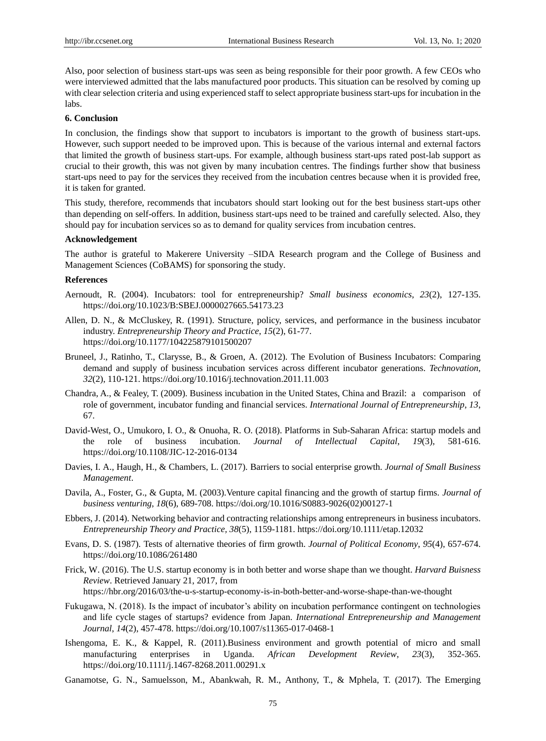Also, poor selection of business start-ups was seen as being responsible for their poor growth. A few CEOs who were interviewed admitted that the labs manufactured poor products. This situation can be resolved by coming up with clear selection criteria and using experienced staff to select appropriate business start-ups for incubation in the labs.

### **6. Conclusion**

In conclusion, the findings show that support to incubators is important to the growth of business start-ups. However, such support needed to be improved upon. This is because of the various internal and external factors that limited the growth of business start-ups. For example, although business start-ups rated post-lab support as crucial to their growth, this was not given by many incubation centres. The findings further show that business start-ups need to pay for the services they received from the incubation centres because when it is provided free, it is taken for granted.

This study, therefore, recommends that incubators should start looking out for the best business start-ups other than depending on self-offers. In addition, business start-ups need to be trained and carefully selected. Also, they should pay for incubation services so as to demand for quality services from incubation centres.

## **Acknowledgement**

The author is grateful to Makerere University –SIDA Research program and the College of Business and Management Sciences (CoBAMS) for sponsoring the study.

#### **References**

- Aernoudt, R. (2004). Incubators: tool for entrepreneurship? *Small business economics*, *23*(2), 127-135. <https://doi.org/10.1023/B:SBEJ.0000027665.54173.23>
- Allen, D. N., & McCluskey, R. (1991). Structure, policy, services, and performance in the business incubator industry. *Entrepreneurship Theory and Practice*, *15*(2), 61-77. <https://doi.org/10.1177/104225879101500207>
- Bruneel, J., Ratinho, T., Clarysse, B., & Groen, A. (2012). The Evolution of Business Incubators: Comparing demand and supply of business incubation services across different incubator generations. *Technovation*, *32*(2), 110-121. <https://doi.org/10.1016/j.technovation.2011.11.003>
- Chandra, A., & Fealey, T. (2009). Business incubation in the United States, China and Brazil: a comparison of role of government, incubator funding and financial services. *International Journal of Entrepreneurship*, *13*, 67.
- David-West, O., Umukoro, I. O., & Onuoha, R. O. (2018). Platforms in Sub-Saharan Africa: startup models and the role of business incubation. *Journal of Intellectual Capital*, *19*(3), 581-616. <https://doi.org/10.1108/JIC-12-2016-0134>
- Davies, I. A., Haugh, H., & Chambers, L. (2017). Barriers to social enterprise growth. *Journal of Small Business Management*.
- Davila, A., Foster, G., & Gupta, M. (2003).Venture capital financing and the growth of startup firms. *Journal of business venturing*, *18*(6), 689-708. [https://doi.org/10.1016/S0883-9026\(02\)00127-1](https://doi.org/10.1016/S0883-9026(02)00127-1)
- Ebbers, J. (2014). Networking behavior and contracting relationships among entrepreneurs in business incubators. *Entrepreneurship Theory and Practice, 38*(5), 1159-1181. <https://doi.org/10.1111/etap.12032>
- Evans, D. S. (1987). Tests of alternative theories of firm growth. *Journal of Political Economy*, *95*(4), 657-674. <https://doi.org/10.1086/261480>
- Frick, W. (2016). The U.S. startup economy is in both better and worse shape than we thought. *Harvard Buisness Review*. Retrieved January 21, 2017, from https://hbr.org/2016/03/the-u-s-startup-economy-is-in-both-better-and-worse-shape-than-we-thought
- Fukugawa, N. (2018). Is the impact of incubator's ability on incubation performance contingent on technologies and life cycle stages of startups? evidence from Japan. *International Entrepreneurship and Management Journal*, *14*(2), 457-478. <https://doi.org/10.1007/s11365-017-0468-1>
- Ishengoma, E. K., & Kappel, R. (2011).Business environment and growth potential of micro and small manufacturing enterprises in Uganda. *African Development Review*, *23*(3), 352-365. <https://doi.org/10.1111/j.1467-8268.2011.00291.x>
- Ganamotse, G. N., Samuelsson, M., Abankwah, R. M., Anthony, T., & Mphela, T. (2017). The Emerging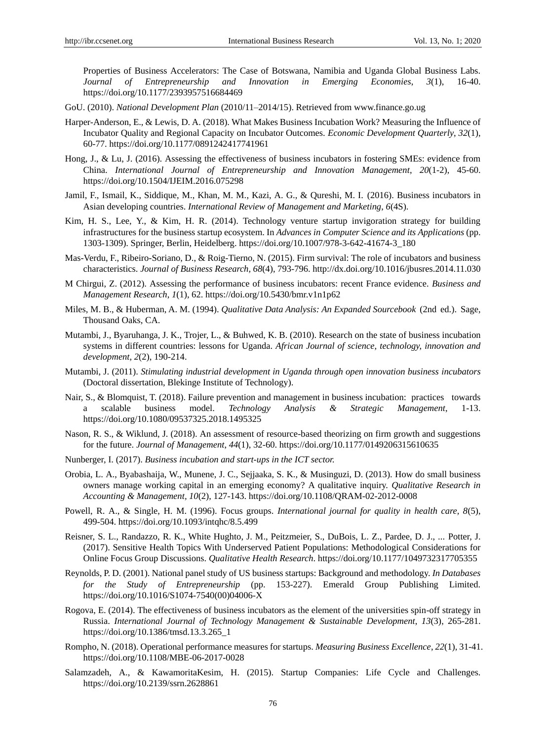Properties of Business Accelerators: The Case of Botswana, Namibia and Uganda Global Business Labs. *Journal of Entrepreneurship and Innovation in Emerging Economies*, *3*(1), 16-40. <https://doi.org/10.1177/2393957516684469>

GoU. (2010). *National Development Plan* (2010/11–2014/15). Retrieved from [www.finance.go.ug](http://www.finance.go.ug/)

- Harper-Anderson, E., & Lewis, D. A. (2018). What Makes Business Incubation Work? Measuring the Influence of Incubator Quality and Regional Capacity on Incubator Outcomes. *Economic Development Quarterly*, *32*(1), 60-77. <https://doi.org/10.1177/0891242417741961>
- Hong, J., & Lu, J. (2016). Assessing the effectiveness of business incubators in fostering SMEs: evidence from China. *International Journal of Entrepreneurship and Innovation Management*, *20*(1-2), 45-60. <https://doi.org/10.1504/IJEIM.2016.075298>
- Jamil, F., Ismail, K., Siddique, M., Khan, M. M., Kazi, A. G., & Qureshi, M. I. (2016). Business incubators in Asian developing countries. *International Review of Management and Marketing*, *6*(4S).
- Kim, H. S., Lee, Y., & Kim, H. R. (2014). Technology venture startup invigoration strategy for building infrastructures for the business startup ecosystem. In *Advances in Computer Science and its Applications* (pp. 1303-1309). Springer, Berlin, Heidelberg. [https://doi.org/10.1007/978-3-642-41674-3\\_180](https://doi.org/10.1007/978-3-642-41674-3_180)
- Mas-Verdu, F., Ribeiro-Soriano, D., & Roig-Tierno, N. (2015). Firm survival: The role of incubators and business characteristics. *Journal of Business Research, 68*(4), 793-796.<http://dx.doi.org/10.1016/jbusres.2014.11.030>
- M Chirgui, Z. (2012). Assessing the performance of business incubators: recent France evidence. *Business and Management Research*, *1*(1), 62. <https://doi.org/10.5430/bmr.v1n1p62>
- Miles, M. B., & Huberman, A. M. (1994). *Qualitative Data Analysis: An Expanded Sourcebook* (2nd ed.). Sage, Thousand Oaks, CA.
- Mutambi, J., Byaruhanga, J. K., Trojer, L., & Buhwed, K. B. (2010). Research on the state of business incubation systems in different countries: lessons for Uganda. *African Journal of science, technology, innovation and development*, *2*(2), 190-214.
- Mutambi, J. (2011). *Stimulating industrial development in Uganda through open innovation business incubators* (Doctoral dissertation, Blekinge Institute of Technology).
- Nair, S., & Blomquist, T. (2018). Failure prevention and management in business incubation: practices towards a scalable business model. *Technology Analysis & Strategic Management*, 1-13. <https://doi.org/10.1080/09537325.2018.1495325>
- Nason, R. S., & Wiklund, J. (2018). An assessment of resource-based theorizing on firm growth and suggestions for the future. *Journal of Management*, *44*(1), 32-60. <https://doi.org/10.1177/0149206315610635>
- Nunberger, I. (2017). *Business incubation and start-ups in the ICT sector.*
- Orobia, L. A., Byabashaija, W., Munene, J. C., Sejjaaka, S. K., & Musinguzi, D. (2013). How do small business owners manage working capital in an emerging economy? A qualitative inquiry. *Qualitative Research in Accounting & Management, 10*(2), 127-143. <https://doi.org/10.1108/QRAM-02-2012-0008>
- Powell, R. A., & Single, H. M. (1996). Focus groups. *International journal for quality in health care, 8*(5), 499-504. <https://doi.org/10.1093/intqhc/8.5.499>
- Reisner, S. L., Randazzo, R. K., White Hughto, J. M., Peitzmeier, S., DuBois, L. Z., Pardee, D. J., ... Potter, J. (2017). Sensitive Health Topics With Underserved Patient Populations: Methodological Considerations for Online Focus Group Discussions. *Qualitative Health Research*. <https://doi.org/10.1177/1049732317705355>
- Reynolds, P. D. (2001). National panel study of US business startups: Background and methodology. *In Databases for the Study of Entrepreneurship* (pp. 153-227). Emerald Group Publishing Limited. [https://doi.org/10.1016/S1074-7540\(00\)04006-X](https://doi.org/10.1016/S1074-7540(00)04006-X)
- Rogova, E. (2014). The effectiveness of business incubators as the element of the universities spin-off strategy in Russia. *International Journal of Technology Management & Sustainable Development*, *13*(3), 265-281. [https://doi.org/10.1386/tmsd.13.3.265\\_1](https://doi.org/10.1386/tmsd.13.3.265_1)
- Rompho, N. (2018). Operational performance measures for startups. *Measuring Business Excellence*, *22*(1), 31-41. <https://doi.org/10.1108/MBE-06-2017-0028>
- Salamzadeh, A., & KawamoritaKesim, H. (2015). Startup Companies: Life Cycle and Challenges. <https://doi.org/10.2139/ssrn.2628861>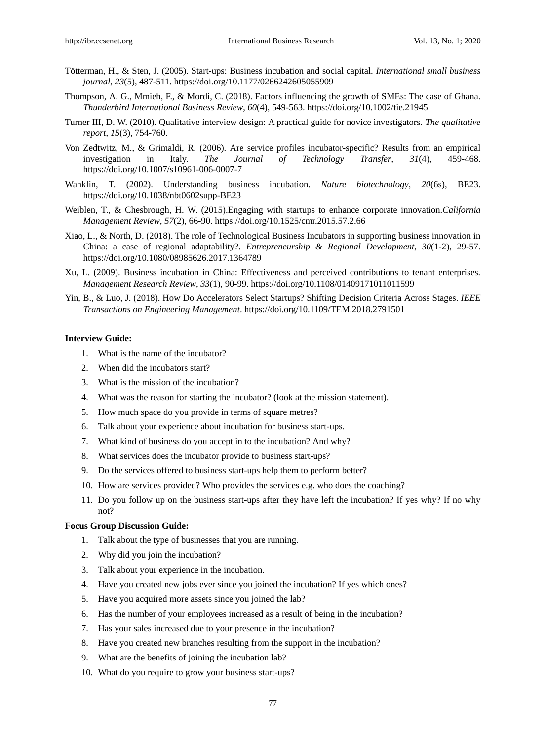- Tötterman, H., & Sten, J. (2005). Start-ups: Business incubation and social capital. *International small business journal*, *23*(5), 487-511. <https://doi.org/10.1177/0266242605055909>
- Thompson, A. G., Mmieh, F., & Mordi, C. (2018). Factors influencing the growth of SMEs: The case of Ghana. *Thunderbird International Business Review*, *60*(4), 549-563. <https://doi.org/10.1002/tie.21945>
- Turner III, D. W. (2010). Qualitative interview design: A practical guide for novice investigators. *The qualitative report*, *15*(3), 754-760.
- Von Zedtwitz, M., & Grimaldi, R. (2006). Are service profiles incubator-specific? Results from an empirical investigation in Italy. *The Journal of Technology Transfer*, *31*(4), 459-468. <https://doi.org/10.1007/s10961-006-0007-7>
- Wanklin, T. (2002). Understanding business incubation. *Nature biotechnology*, *20*(6s), BE23. <https://doi.org/10.1038/nbt0602supp-BE23>
- Weiblen, T., & Chesbrough, H. W. (2015).Engaging with startups to enhance corporate innovation.*California Management Review*, *57*(2), 66-90. <https://doi.org/10.1525/cmr.2015.57.2.66>
- Xiao, L., & North, D. (2018). The role of Technological Business Incubators in supporting business innovation in China: a case of regional adaptability?. *Entrepreneurship & Regional Development*, *30*(1-2), 29-57. <https://doi.org/10.1080/08985626.2017.1364789>
- Xu, L. (2009). Business incubation in China: Effectiveness and perceived contributions to tenant enterprises. *Management Research Review*, *33*(1), 90-99. <https://doi.org/10.1108/01409171011011599>
- Yin, B., & Luo, J. (2018). How Do Accelerators Select Startups? Shifting Decision Criteria Across Stages. *IEEE Transactions on Engineering Management*. <https://doi.org/10.1109/TEM.2018.2791501>

## **Interview Guide:**

- 1. What is the name of the incubator?
- 2. When did the incubators start?
- 3. What is the mission of the incubation?
- 4. What was the reason for starting the incubator? (look at the mission statement).
- 5. How much space do you provide in terms of square metres?
- 6. Talk about your experience about incubation for business start-ups.
- 7. What kind of business do you accept in to the incubation? And why?
- 8. What services does the incubator provide to business start-ups?
- 9. Do the services offered to business start-ups help them to perform better?
- 10. How are services provided? Who provides the services e.g. who does the coaching?
- 11. Do you follow up on the business start-ups after they have left the incubation? If yes why? If no why not?

#### **Focus Group Discussion Guide:**

- 1. Talk about the type of businesses that you are running.
- 2. Why did you join the incubation?
- 3. Talk about your experience in the incubation.
- 4. Have you created new jobs ever since you joined the incubation? If yes which ones?
- 5. Have you acquired more assets since you joined the lab?
- 6. Has the number of your employees increased as a result of being in the incubation?
- 7. Has your sales increased due to your presence in the incubation?
- 8. Have you created new branches resulting from the support in the incubation?
- 9. What are the benefits of joining the incubation lab?
- 10. What do you require to grow your business start-ups?